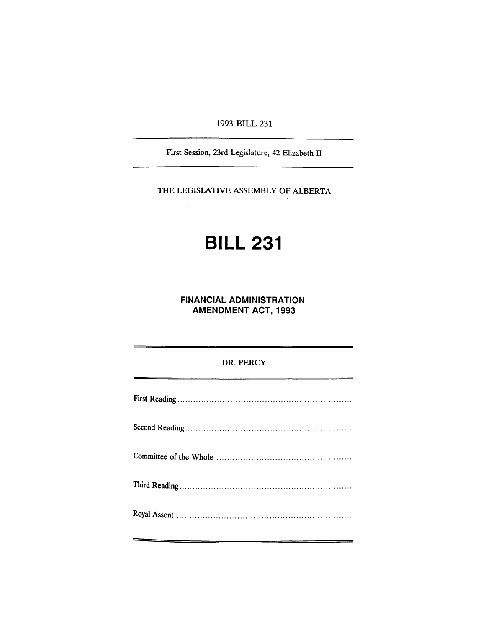1993 BILL 231

First Session, 23rd Legislature, 42 Elizabeth II

THE LEGISLATIVE ASSEMBLY OF ALBERTA

 $\hat{\mathcal{L}}$ 

# **BILL 231**

**FINANCIAL ADMINISTRATION AMENDMENT** ACT, 1993

DR. PERCY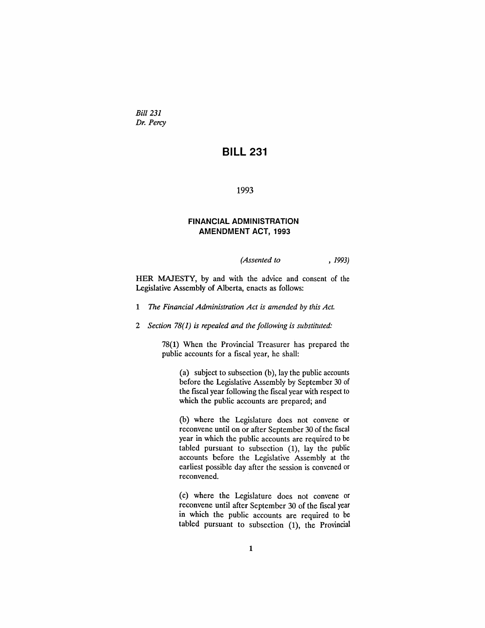*Bill 231 Dr. Percy*

# **BILL 231**

#### 1993

## **FINANCIAL ADMINISTRATION AMENDMENT ACT, 1993**

*(Assented to* , 1993)

HER MAJESTY, by and with the advice and consent of the Legislative Assembly of Alberta, enacts as follows:

- 1 *The Financial Administration Act is amended by this Act.*
- *2 Section* 78(1) *is repealed and the following is substituted:*

78(1) When the Provincial Treasurer has prepared the public accounts for a fiscal year, he shall:

(a) subject to subsection (b), lay the public accounts before the Legislative Assembly by September 30 of the fiscal year following the fiscal year with respect to which the public accounts are prepared; and

(b) where the Legislature does not convene or reconvene until on or after September 30 of the fiscal year in which the public accounts are required to be tabled pursuant to subsection (1), lay the public accounts before the Legislative Assembly at the earliest possible day after the session is convened or reconvened.

(c) where the Legislature does not convene or reconvene until after September 30 of the fiscal year in which the public accounts are required to be tabled pursuant to subsection (1), the Provincial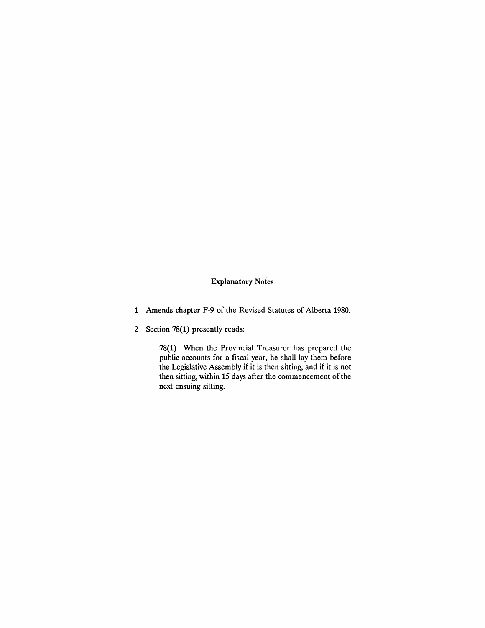## Explanatory Notes

- 1 Amends chapter F-9 of the Revised Statutes of Alberta 1980.
- 2 Section 78(1) presently reads:

78(1) When the Provincial Treasurer has prepared the public accounts for a fiscal year, he shall lay them before the Legislative Assembly if it is then sitting, and if it is not then sitting, within 15 days after the commencement of the next ensuing sitting.